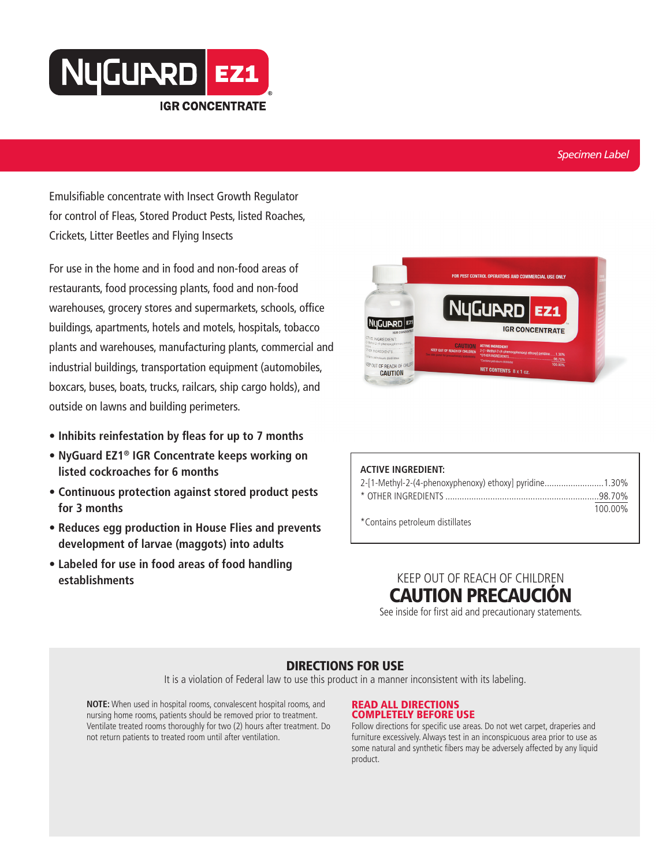

#### *Specimen Label*

Emulsifiable concentrate with Insect Growth Regulator for control of Fleas, Stored Product Pests, listed Roaches, Crickets, Litter Beetles and Flying Insects

For use in the home and in food and non-food areas of restaurants, food processing plants, food and non-food warehouses, grocery stores and supermarkets, schools, office buildings, apartments, hotels and motels, hospitals, tobacco plants and warehouses, manufacturing plants, commercial and industrial buildings, transportation equipment (automobiles, boxcars, buses, boats, trucks, railcars, ship cargo holds), and outside on lawns and building perimeters.

- **• Inhibits reinfestation by fleas for up to 7 months**
- **• NyGuard EZ1® IGR Concentrate keeps working on listed cockroaches for 6 months**
- **• Continuous protection against stored product pests for 3 months**
- **• Reduces egg production in House Flies and prevents development of larvae (maggots) into adults**
- **• Labeled for use in food areas of food handling establishments** KEEP OUT OF REACH OF CHILDREN



| <b>ACTIVE INGREDIENT:</b>                              |         |
|--------------------------------------------------------|---------|
| 2-[1-Methyl-2-(4-phenoxyphenoxy) ethoxy] pyridine1.30% |         |
|                                                        |         |
|                                                        | 100.00% |
| *Contains petroleum distillates                        |         |

# CAUTION PRECAUCIÓN

See inside for first aid and precautionary statements.

### DIRECTIONS FOR USE

It is a violation of Federal law to use this product in a manner inconsistent with its labeling.

**NOTE:** When used in hospital rooms, convalescent hospital rooms, and nursing home rooms, patients should be removed prior to treatment. Ventilate treated rooms thoroughly for two (2) hours after treatment. Do not return patients to treated room until after ventilation.

#### READ ALL DIRECTIONS COMPLETELY BEFORE USE

Follow directions for specific use areas. Do not wet carpet, draperies and furniture excessively. Always test in an inconspicuous area prior to use as some natural and synthetic fibers may be adversely affected by any liquid product.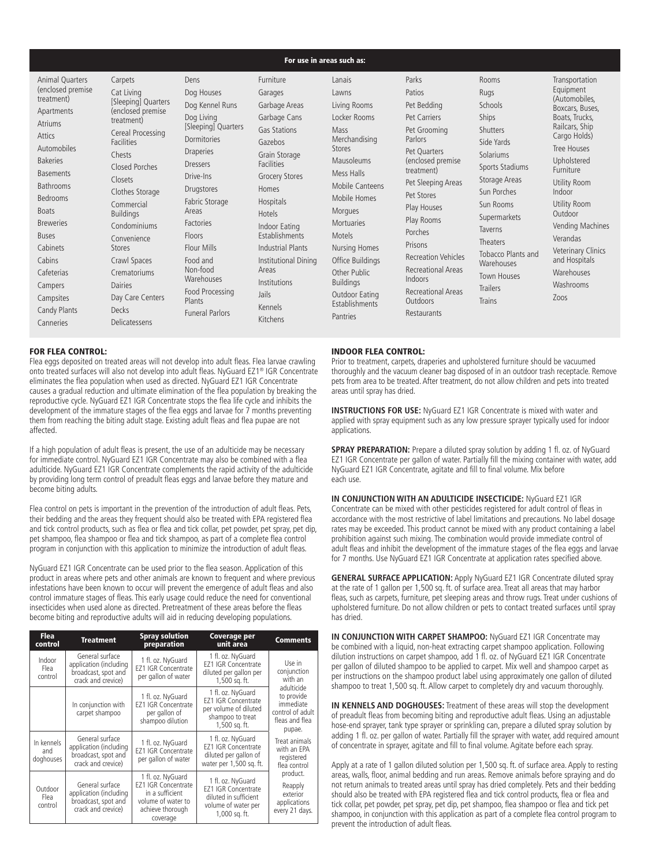#### For use in areas such as:

| Animal Quarters<br>(enclosed premise)<br>treatment)<br>Apartments<br><b>Atriums</b><br>Attics<br><b>Automobiles</b><br><b>Bakeries</b><br><b>Basements</b><br><b>Bathrooms</b><br><b>Bedrooms</b><br><b>Boats</b><br><b>Breweries</b><br><b>Buses</b><br>Cabinets<br>Cabins<br>Cafeterias<br>Campers<br>Campsites<br>Candy Plants<br>Canneries | Carpets<br>Cat Living<br>[Sleeping] Quarters<br>(enclosed premise)<br>treatment)<br>Cereal Processing<br><b>Facilities</b><br>Chests<br>Closed Porches<br>Closets<br>Clothes Storage<br>Commercial<br><b>Buildings</b><br>Condominiums<br>Convenience<br>Stores<br>Crawl Spaces<br>Crematoriums<br>Dairies<br>Day Care Centers<br><b>Decks</b><br>Delicatessens | Dens<br>Dog Houses<br>Dog Kennel Runs<br>Dog Living<br>[Sleeping] Quarters<br>Dormitories<br><b>Draperies</b><br>Dressers<br>Drive-Ins<br>Drugstores<br>Fabric Storage<br>Areas<br><b>Factories</b><br>Floors<br>Flour Mills<br>Food and<br>Non-food<br>Warehouses<br>Food Processing<br>Plants<br><b>Funeral Parlors</b> | Furniture<br>Garages<br>Garbage Areas<br>Garbage Cans<br><b>Gas Stations</b><br>Gazebos<br>Grain Storage<br><b>Facilities</b><br><b>Grocery Stores</b><br>Homes<br><b>Hospitals</b><br>Hotels<br>Indoor Eating<br>Establishments<br><b>Industrial Plants</b><br>Institutional Dining<br>Areas<br>Institutions<br>Jails<br>Kennels<br><b>Kitchens</b> | Lanais<br>Lawns<br>Living Rooms<br>Locker Rooms<br>Mass<br>Merchandising<br>Stores<br><b>Mausoleums</b><br>Mess Halls<br>Mobile Canteens<br>Mobile Homes<br>Morgues<br><b>Mortuaries</b><br>Motels<br><b>Nursing Homes</b><br>Office Buildings<br>Other Public<br><b>Buildings</b><br>Outdoor Eating<br>Establishments<br>Pantries | Parks<br>Patios<br>Pet Bedding<br>Pet Carriers<br>Pet Grooming<br>Parlors<br>Pet Ouarters<br>(enclosed premise)<br>treatment)<br>Pet Sleeping Areas<br>Pet Stores<br>Play Houses<br>Play Rooms<br>Porches<br>Prisons<br><b>Recreation Vehicles</b><br><b>Recreational Areas</b><br>Indoors<br><b>Recreational Areas</b><br>Outdoors<br>Restaurants | Rooms<br>Rugs<br>Schools<br>Ships<br>Shutters<br>Side Yards<br>Solariums<br>Sports Stadiums<br>Storage Areas<br>Sun Porches<br>Sun Rooms<br>Supermarkets<br><b>Taverns</b><br>Theaters<br>Tobacco Plants and<br>Warehouses<br><b>Town Houses</b><br><b>Trailers</b><br>Trains | Transportation<br>Equipment<br>(Automobiles,<br>Boxcars, Buses,<br>Boats, Trucks,<br>Railcars, Ship<br>Cargo Holds)<br>Tree Houses<br>Upholstered<br>Furniture<br>Utility Room<br>Indoor<br>Utility Room<br>Outdoor<br>Vending Machines<br>Verandas<br><b>Veterinary Clinics</b><br>and Hospitals<br>Warehouses<br>Washrooms<br>Zoos |
|------------------------------------------------------------------------------------------------------------------------------------------------------------------------------------------------------------------------------------------------------------------------------------------------------------------------------------------------|-----------------------------------------------------------------------------------------------------------------------------------------------------------------------------------------------------------------------------------------------------------------------------------------------------------------------------------------------------------------|---------------------------------------------------------------------------------------------------------------------------------------------------------------------------------------------------------------------------------------------------------------------------------------------------------------------------|------------------------------------------------------------------------------------------------------------------------------------------------------------------------------------------------------------------------------------------------------------------------------------------------------------------------------------------------------|------------------------------------------------------------------------------------------------------------------------------------------------------------------------------------------------------------------------------------------------------------------------------------------------------------------------------------|----------------------------------------------------------------------------------------------------------------------------------------------------------------------------------------------------------------------------------------------------------------------------------------------------------------------------------------------------|-------------------------------------------------------------------------------------------------------------------------------------------------------------------------------------------------------------------------------------------------------------------------------|--------------------------------------------------------------------------------------------------------------------------------------------------------------------------------------------------------------------------------------------------------------------------------------------------------------------------------------|
|------------------------------------------------------------------------------------------------------------------------------------------------------------------------------------------------------------------------------------------------------------------------------------------------------------------------------------------------|-----------------------------------------------------------------------------------------------------------------------------------------------------------------------------------------------------------------------------------------------------------------------------------------------------------------------------------------------------------------|---------------------------------------------------------------------------------------------------------------------------------------------------------------------------------------------------------------------------------------------------------------------------------------------------------------------------|------------------------------------------------------------------------------------------------------------------------------------------------------------------------------------------------------------------------------------------------------------------------------------------------------------------------------------------------------|------------------------------------------------------------------------------------------------------------------------------------------------------------------------------------------------------------------------------------------------------------------------------------------------------------------------------------|----------------------------------------------------------------------------------------------------------------------------------------------------------------------------------------------------------------------------------------------------------------------------------------------------------------------------------------------------|-------------------------------------------------------------------------------------------------------------------------------------------------------------------------------------------------------------------------------------------------------------------------------|--------------------------------------------------------------------------------------------------------------------------------------------------------------------------------------------------------------------------------------------------------------------------------------------------------------------------------------|

#### FOR FLEA CONTROL:

Flea eggs deposited on treated areas will not develop into adult fleas. Flea larvae crawling onto treated surfaces will also not develop into adult fleas. NyGuard EZ1® IGR Concentrate eliminates the flea population when used as directed. NyGuard EZ1 IGR Concentrate causes a gradual reduction and ultimate elimination of the flea population by breaking the reproductive cycle. NyGuard EZ1 IGR Concentrate stops the flea life cycle and inhibits the development of the immature stages of the flea eggs and larvae for  $\tilde{7}$  months preventing them from reaching the biting adult stage. Existing adult fleas and flea pupae are not affected.

If a high population of adult fleas is present, the use of an adulticide may be necessary for immediate control. NyGuard EZ1 IGR Concentrate may also be combined with a flea adulticide. NyGuard EZ1 IGR Concentrate complements the rapid activity of the adulticide by providing long term control of preadult fleas eggs and larvae before they mature and become biting adults.

Flea control on pets is important in the prevention of the introduction of adult fleas. Pets, their bedding and the areas they frequent should also be treated with EPA registered flea and tick control products, such as flea or flea and tick collar, pet powder, pet spray, pet dip, pet shampoo, flea shampoo or flea and tick shampoo, as part of a complete flea control program in conjunction with this application to minimize the introduction of adult fleas.

NyGuard EZ1 IGR Concentrate can be used prior to the flea season. Application of this product in areas where pets and other animals are known to frequent and where previous infestations have been known to occur will prevent the emergence of adult fleas and also control immature stages of fleas. This early usage could reduce the need for conventional insecticides when used alone as directed. Pretreatment of these areas before the fleas become biting and reproductive adults will aid in reducing developing populations.

| <b>Flea</b><br>control         | <b>Treatment</b>                                                                       | <b>Spray solution</b><br>preparation                                                                                     | <b>Coverage per</b><br>unit area                                                                                 | <b>Comments</b>                                                                       |
|--------------------------------|----------------------------------------------------------------------------------------|--------------------------------------------------------------------------------------------------------------------------|------------------------------------------------------------------------------------------------------------------|---------------------------------------------------------------------------------------|
| Indoor<br>Flea<br>control      | General surface<br>application (including<br>broadcast, spot and<br>crack and crevice) | 1 fl. oz. NyGuard<br><b>EZ1 IGR Concentrate</b><br>per gallon of water                                                   | 1 fl. oz. NyGuard<br><b>EZ1 IGR Concentrate</b><br>diluted per gallon per<br>1,500 sq. ft.                       | Use in<br>conjunction<br>with an                                                      |
|                                | In conjunction with<br>carpet shampoo                                                  | 1 fl. oz. NyGuard<br><b>EZ1 IGR Concentrate</b><br>per gallon of<br>shampoo dilution                                     | 1 fl. oz. NyGuard<br><b>EZ1 IGR Concentrate</b><br>per volume of diluted<br>shampoo to treat<br>1,500 sq. ft.    | adulticide<br>to provide<br>immediate<br>control of adult<br>fleas and flea<br>pupae. |
| In kennels<br>and<br>doghouses | General surface<br>application (including<br>broadcast, spot and<br>crack and crevice) | 1 fl. oz. NyGuard<br><b>FZ1 IGR Concentrate</b><br>per gallon of water                                                   | 1 fl. oz. NyGuard<br><b>EZ1 IGR Concentrate</b><br>diluted per gallon of<br>water per 1,500 sq. ft.              | Treat animals<br>with an FPA<br>registered<br>flea control                            |
| Outdoor<br>Flea<br>control     | General surface<br>application (including<br>broadcast, spot and<br>crack and crevice) | 1 fl. oz. NyGuard<br><b>EZ1 IGR Concentrate</b><br>in a sufficient<br>volume of water to<br>achieve thorough<br>coverage | 1 fl. oz. NyGuard<br><b>EZ1 IGR Concentrate</b><br>diluted in sufficient<br>volume of water per<br>1,000 sq. ft. | product.<br>Reapply<br>exterior<br>applications<br>every 21 days.                     |

#### INDOOR FLEA CONTROL:

Prior to treatment, carpets, draperies and upholstered furniture should be vacuumed thoroughly and the vacuum cleaner bag disposed of in an outdoor trash receptacle. Remove pets from area to be treated. After treatment, do not allow children and pets into treated areas until spray has dried.

**INSTRUCTIONS FOR USE:** NyGuard EZ1 IGR Concentrate is mixed with water and applied with spray equipment such as any low pressure sprayer typically used for indoor applications.

**SPRAY PREPARATION:** Prepare a diluted spray solution by adding 1 fl. oz. of NyGuard EZ1 IGR Concentrate per gallon of water. Partially fill the mixing container with water, add NyGuard EZ1 IGR Concentrate, agitate and fill to final volume. Mix before each use.

**IN CONJUNCTION WITH AN ADULTICIDE INSECTICIDE: NyGuard EZ1 IGR** Concentrate can be mixed with other pesticides registered for adult control of fleas in accordance with the most restrictive of label limitations and precautions. No label dosage rates may be exceeded. This product cannot be mixed with any product containing a label prohibition against such mixing. The combination would provide immediate control of adult fleas and inhibit the development of the immature stages of the flea eggs and larvae for 7 months. Use NyGuard EZ1 IGR Concentrate at application rates specified above.

**GENERAL SURFACE APPLICATION:** Apply NyGuard EZ1 IGR Concentrate diluted spray at the rate of 1 gallon per 1,500 sq. ft. of surface area. Treat all areas that may harbor fleas, such as carpets, furniture, pet sleeping areas and throw rugs. Treat under cushions of upholstered furniture. Do not allow children or pets to contact treated surfaces until spray has dried.

**IN CONJUNCTION WITH CARPET SHAMPOO:** NyGuard EZ1 IGR Concentrate may be combined with a liquid, non-heat extracting carpet shampoo application. Following dilution instructions on carpet shampoo, add 1 fl. oz. of NyGuard EZ1 IGR Concentrate per gallon of diluted shampoo to be applied to carpet. Mix well and shampoo carpet as per instructions on the shampoo product label using approximately one gallon of diluted shampoo to treat 1,500 sq. ft. Allow carpet to completely dry and vacuum thoroughly.

**IN KENNELS AND DOGHOUSES:** Treatment of these areas will stop the development of preadult fleas from becoming biting and reproductive adult fleas. Using an adjustable hose-end sprayer, tank type sprayer or sprinkling can, prepare a diluted spray solution by adding 1 fl. oz. per gallon of water. Partially fill the sprayer with water, add required amount of concentrate in sprayer, agitate and fill to final volume. Agitate before each spray.

Apply at a rate of 1 gallon diluted solution per 1,500 sq. ft. of surface area. Apply to resting areas, walls, floor, animal bedding and run areas. Remove animals before spraying and do not return animals to treated areas until spray has dried completely. Pets and their bedding should also be treated with EPA registered flea and tick control products, flea or flea and tick collar, pet powder, pet spray, pet dip, pet shampoo, flea shampoo or flea and tick pet shampoo, in conjunction with this application as part of a complete flea control program to prevent the introduction of adult fleas.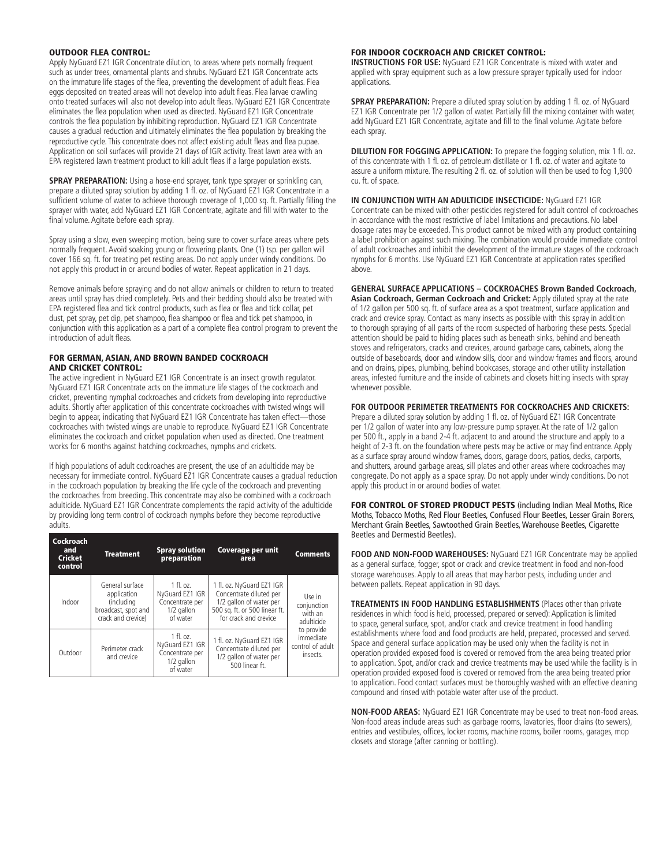#### OUTDOOR FLEA CONTROL:

Apply NyGuard EZ1 IGR Concentrate dilution, to areas where pets normally frequent such as under trees, ornamental plants and shrubs. NyGuard EZ1 IGR Concentrate acts on the immature life stages of the flea, preventing the development of adult fleas. Flea eggs deposited on treated areas will not develop into adult fleas. Flea larvae crawling onto treated surfaces will also not develop into adult fleas. NyGuard EZ1 IGR Concentrate eliminates the flea population when used as directed. NyGuard EZ1 IGR Concentrate controls the flea population by inhibiting reproduction. NyGuard EZ1 IGR Concentrate causes a gradual reduction and ultimately eliminates the flea population by breaking the reproductive cycle. This concentrate does not affect existing adult fleas and flea pupae. Application on soil surfaces will provide 21 days of IGR activity. Treat lawn area with an EPA registered lawn treatment product to kill adult fleas if a large population exists.

**SPRAY PREPARATION:** Using a hose-end sprayer, tank type sprayer or sprinkling can, prepare a diluted spray solution by adding 1 fl. oz. of NyGuard EZ1 IGR Concentrate in a sufficient volume of water to achieve thorough coverage of 1,000 sq. ft. Partially filling the sprayer with water, add NyGuard EZ1 IGR Concentrate, agitate and fill with water to the final volume. Agitate before each spray.

Spray using a slow, even sweeping motion, being sure to cover surface areas where pets normally frequent. Avoid soaking young or flowering plants. One (1) tsp. per gallon will cover 166 sq. ft. for treating pet resting areas. Do not apply under windy conditions. Do not apply this product in or around bodies of water. Repeat application in 21 days.

Remove animals before spraying and do not allow animals or children to return to treated areas until spray has dried completely. Pets and their bedding should also be treated with EPA registered flea and tick control products, such as flea or flea and tick collar, pet dust, pet spray, pet dip, pet shampoo, flea shampoo or flea and tick pet shampoo, in conjunction with this application as a part of a complete flea control program to prevent the introduction of adult fleas.

#### FOR GERMAN, ASIAN, AND BROWN BANDED COCKROACH AND CRICKET CONTROL:

The active ingredient in NyGuard EZ1 IGR Concentrate is an insect growth regulator. NyGuard EZ1 IGR Concentrate acts on the immature life stages of the cockroach and cricket, preventing nymphal cockroaches and crickets from developing into reproductive adults. Shortly after application of this concentrate cockroaches with twisted wings will begin to appear, indicating that NyGuard EZ1 IGR Concentrate has taken effect—those cockroaches with twisted wings are unable to reproduce. NyGuard EZ1 IGR Concentrate eliminates the cockroach and cricket population when used as directed. One treatment works for 6 months against hatching cockroaches, nymphs and crickets.

If high populations of adult cockroaches are present, the use of an adulticide may be necessary for immediate control. NyGuard EZ1 IGR Concentrate causes a gradual reduction in the cockroach population by breaking the life cycle of the cockroach and preventing the cockroaches from breeding. This concentrate may also be combined with a cockroach adulticide. NyGuard EZ1 IGR Concentrate complements the rapid activity of the adulticide by providing long term control of cockroach nymphs before they become reproductive adults.

| <b>Cockroach</b><br>and<br><b>Cricket</b><br>control | <b>Treatment</b>                                                                          | <b>Spray solution</b><br>preparation                                        | <b>Coverage per unit</b><br>area                                                                                                          | <b>Comments</b>                                         |  |
|------------------------------------------------------|-------------------------------------------------------------------------------------------|-----------------------------------------------------------------------------|-------------------------------------------------------------------------------------------------------------------------------------------|---------------------------------------------------------|--|
| Indoor                                               | General surface<br>application<br>(including<br>broadcast, spot and<br>crack and crevice) | $1$ fl. oz.<br>NyGuard EZ1 IGR<br>Concentrate per<br>1/2 gallon<br>of water | 1 fl. oz. NyGuard EZ1 IGR<br>Concentrate diluted per<br>1/2 gallon of water per<br>500 sq. ft. or 500 linear ft.<br>for crack and crevice | Use in<br>conjunction<br>with an<br>adulticide          |  |
| Outdoor                                              | Perimeter crack<br>and crevice                                                            | $1$ fl. oz.<br>NyGuard EZ1 IGR<br>Concentrate per<br>1/2 gallon<br>of water | 1 fl. oz. NyGuard EZ1 IGR<br>Concentrate diluted per<br>1/2 gallon of water per<br>500 linear ft.                                         | to provide<br>immediate<br>control of adult<br>insects. |  |

#### FOR INDOOR COCKROACH AND CRICKET CONTROL:

**INSTRUCTIONS FOR USE:** NyGuard EZ1 IGR Concentrate is mixed with water and applied with spray equipment such as a low pressure sprayer typically used for indoor applications.

**SPRAY PREPARATION:** Prepare a diluted spray solution by adding 1 fl. oz. of NyGuard EZ1 IGR Concentrate per 1/2 gallon of water. Partially fill the mixing container with water, add NyGuard EZ1 IGR Concentrate, agitate and fill to the final volume. Agitate before each spray.

**DILUTION FOR FOGGING APPLICATION:** To prepare the fogging solution, mix 1 fl. oz. of this concentrate with 1 fl. oz. of petroleum distillate or 1 fl. oz. of water and agitate to assure a uniform mixture. The resulting 2 fl. oz. of solution will then be used to fog 1,900 cu. ft. of space.

**IN CONJUNCTION WITH AN ADULTICIDE INSECTICIDE: NyGuard EZ1 IGR** Concentrate can be mixed with other pesticides registered for adult control of cockroaches in accordance with the most restrictive of label limitations and precautions. No label dosage rates may be exceeded. This product cannot be mixed with any product containing a label prohibition against such mixing. The combination would provide immediate control of adult cockroaches and inhibit the development of the immature stages of the cockroach nymphs for 6 months. Use NyGuard EZ1 IGR Concentrate at application rates specified above.

**GENERAL SURFACE APPLICATIONS – COCKROACHES Brown Banded Cockroach, Asian Cockroach, German Cockroach and Cricket:** Apply diluted spray at the rate of 1/2 gallon per 500 sq. ft. of surface area as a spot treatment, surface application and crack and crevice spray. Contact as many insects as possible with this spray in addition to thorough spraying of all parts of the room suspected of harboring these pests. Special attention should be paid to hiding places such as beneath sinks, behind and beneath

stoves and refrigerators, cracks and crevices, around garbage cans, cabinets, along the outside of baseboards, door and window sills, door and window frames and floors, around and on drains, pipes, plumbing, behind bookcases, storage and other utility installation areas, infested furniture and the inside of cabinets and closets hitting insects with spray whenever possible.

#### **FOR OUTDOOR PERIMETER TREATMENTS FOR COCKROACHES AND CRICKETS:**

Prepare a diluted spray solution by adding 1 fl. oz. of NyGuard EZ1 IGR Concentrate per 1/2 gallon of water into any low-pressure pump sprayer. At the rate of 1/2 gallon per 500 ft., apply in a band 2-4 ft. adjacent to and around the structure and apply to a height of 2-3 ft. on the foundation where pests may be active or may find entrance. Apply as a surface spray around window frames, doors, garage doors, patios, decks, carports, and shutters, around garbage areas, sill plates and other areas where cockroaches may congregate. Do not apply as a space spray. Do not apply under windy conditions. Do not apply this product in or around bodies of water.

FOR CONTROL OF STORED PRODUCT PESTS (including Indian Meal Moths, Rice Moths, Tobacco Moths, Red Flour Beetles, Confused Flour Beetles, Lesser Grain Borers, Merchant Grain Beetles, Sawtoothed Grain Beetles, Warehouse Beetles, Cigarette Beetles and Dermestid Beetles).

**FOOD AND NON-FOOD WAREHOUSES:** NyGuard EZ1 IGR Concentrate may be applied as a general surface, fogger, spot or crack and crevice treatment in food and non-food storage warehouses. Apply to all areas that may harbor pests, including under and between pallets. Repeat application in 90 days.

**TREATMENTS IN FOOD HANDLING ESTABLISHMENTS** (Places other than private residences in which food is held, processed, prepared or served): Application is limited to space, general surface, spot, and/or crack and crevice treatment in food handling establishments where food and food products are held, prepared, processed and served. Space and general surface application may be used only when the facility is not in operation provided exposed food is covered or removed from the area being treated prior to application. Spot, and/or crack and crevice treatments may be used while the facility is in operation provided exposed food is covered or removed from the area being treated prior to application. Food contact surfaces must be thoroughly washed with an effective cleaning compound and rinsed with potable water after use of the product.

**NON-FOOD AREAS:** NyGuard EZ1 IGR Concentrate may be used to treat non-food areas. Non-food areas include areas such as garbage rooms, lavatories, floor drains (to sewers), entries and vestibules, offices, locker rooms, machine rooms, boiler rooms, garages, mop closets and storage (after canning or bottling).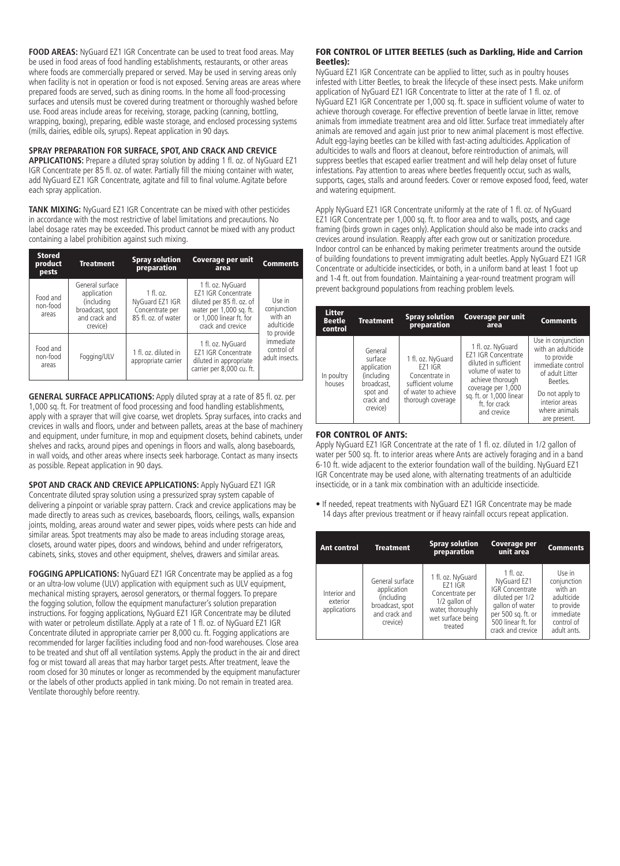**FOOD AREAS:** NyGuard EZ1 IGR Concentrate can be used to treat food areas. May be used in food areas of food handling establishments, restaurants, or other areas where foods are commercially prepared or served. May be used in serving areas only when facility is not in operation or food is not exposed. Serving areas are areas where prepared foods are served, such as dining rooms. In the home all food-processing surfaces and utensils must be covered during treatment or thoroughly washed before use. Food areas include areas for receiving, storage, packing (canning, bottling, wrapping, boxing), preparing, edible waste storage, and enclosed processing systems (mills, dairies, edible oils, syrups). Repeat application in 90 days.

#### **SPRAY PREPARATION FOR SURFACE, SPOT, AND CRACK AND CREVICE**

**APPLICATIONS:** Prepare a diluted spray solution by adding 1 fl. oz. of NyGuard EZ1 IGR Concentrate per 85 fl. oz. of water. Partially fill the mixing container with water, add NyGuard EZ1 IGR Concentrate, agitate and fill to final volume. Agitate before each spray application.

**TANK MIXING:** NyGuard EZ1 IGR Concentrate can be mixed with other pesticides in accordance with the most restrictive of label limitations and precautions. No label dosage rates may be exceeded. This product cannot be mixed with any product containing a label prohibition against such mixing.

| <b>Stored</b><br>product<br>pests | <b>Treatment</b>                                                                             | <b>Spray solution</b><br>preparation                                     | Coverage per unit<br>area                                                                                                                               | <b>Comments</b>                                         |  |
|-----------------------------------|----------------------------------------------------------------------------------------------|--------------------------------------------------------------------------|---------------------------------------------------------------------------------------------------------------------------------------------------------|---------------------------------------------------------|--|
| Food and<br>non-food<br>areas     | General surface<br>application<br>(including<br>broadcast, spot<br>and crack and<br>crevice) | $1$ fl. oz.<br>NyGuard EZ1 IGR<br>Concentrate per<br>85 fl. oz. of water | 1 fl. oz. NyGuard<br><b>EZ1 IGR Concentrate</b><br>diluted per 85 fl. oz. of<br>water per 1,000 sq. ft.<br>or 1.000 linear ft. for<br>crack and crevice | Use in<br>conjunction<br>with an<br>adulticide          |  |
| Food and<br>non-food<br>areas     | Fogging/ULV                                                                                  | 1 fl. oz. diluted in<br>appropriate carrier                              | 1 fl. oz. NyGuard<br><b>EZ1 IGR Concentrate</b><br>diluted in appropriate<br>carrier per 8,000 cu. ft.                                                  | to provide<br>immediate<br>control of<br>adult insects. |  |

**GENERAL SURFACE APPLICATIONS:** Apply diluted spray at a rate of 85 fl. oz. per 1,000 sq. ft. For treatment of food processing and food handling establishments, apply with a sprayer that will give coarse, wet droplets. Spray surfaces, into cracks and crevices in walls and floors, under and between pallets, areas at the base of machinery and equipment, under furniture, in mop and equipment closets, behind cabinets, under shelves and racks, around pipes and openings in floors and walls, along baseboards, in wall voids, and other areas where insects seek harborage. Contact as many insects as possible. Repeat application in 90 days.

**SPOT AND CRACK AND CREVICE APPLICATIONS:** Apply NyGuard EZ1 IGR Concentrate diluted spray solution using a pressurized spray system capable of delivering a pinpoint or variable spray pattern. Crack and crevice applications may be made directly to areas such as crevices, baseboards, floors, ceilings, walls, expansion joints, molding, areas around water and sewer pipes, voids where pests can hide and similar areas. Spot treatments may also be made to areas including storage areas, closets, around water pipes, doors and windows, behind and under refrigerators, cabinets, sinks, stoves and other equipment, shelves, drawers and similar areas.

**FOGGING APPLICATIONS:** NyGuard EZ1 IGR Concentrate may be applied as a fog or an ultra-low volume (ULV) application with equipment such as ULV equipment, mechanical misting sprayers, aerosol generators, or thermal foggers. To prepare the fogging solution, follow the equipment manufacturer's solution preparation instructions. For fogging applications, NyGuard EZ1 IGR Concentrate may be diluted with water or petroleum distillate. Apply at a rate of 1 fl. oz. of NyGuard EZ1 IGR Concentrate diluted in appropriate carrier per 8,000 cu. ft. Fogging applications are recommended for larger facilities including food and non-food warehouses. Close area to be treated and shut off all ventilation systems. Apply the product in the air and direct fog or mist toward all areas that may harbor target pests. After treatment, leave the room closed for 30 minutes or longer as recommended by the equipment manufacturer or the labels of other products applied in tank mixing. Do not remain in treated area. Ventilate thoroughly before reentry.

#### FOR CONTROL OF LITTER BEETLES (such as Darkling, Hide and Carrion Beetles):

NyGuard EZ1 IGR Concentrate can be applied to litter, such as in poultry houses infested with Litter Beetles, to break the lifecycle of these insect pests. Make uniform application of NyGuard EZ1 IGR Concentrate to litter at the rate of 1 fl. oz. of NyGuard EZ1 IGR Concentrate per 1,000 sq. ft. space in sufficient volume of water to achieve thorough coverage. For effective prevention of beetle larvae in litter, remove animals from immediate treatment area and old litter. Surface treat immediately after animals are removed and again just prior to new animal placement is most effective. Adult egg-laying beetles can be killed with fast-acting adulticides. Application of adulticides to walls and floors at cleanout, before reintroduction of animals, will suppress beetles that escaped earlier treatment and will help delay onset of future infestations. Pay attention to areas where beetles frequently occur, such as walls, supports, cages, stalls and around feeders. Cover or remove exposed food, feed, water and watering equipment.

Apply NyGuard EZ1 IGR Concentrate uniformly at the rate of 1 fl. oz. of NyGuard EZ1 IGR Concentrate per 1,000 sq. ft. to floor area and to walls, posts, and cage framing (birds grown in cages only). Application should also be made into cracks and crevices around insulation. Reapply after each grow out or sanitization procedure. Indoor control can be enhanced by making perimeter treatments around the outside of building foundations to prevent immigrating adult beetles. Apply NyGuard EZ1 IGR Concentrate or adulticide insecticides, or both, in a uniform band at least 1 foot up and 1-4 ft. out from foundation. Maintaining a year-round treatment program will prevent background populations from reaching problem levels.

| Litter<br><b>Beetle</b><br>control | <b>Treatment</b>                                                                                   | <b>Spray solution</b><br>preparation                                                                            | Coverage per unit<br>area                                                                                                                                                                           | <b>Comments</b>                                                                                                                                                                  |
|------------------------------------|----------------------------------------------------------------------------------------------------|-----------------------------------------------------------------------------------------------------------------|-----------------------------------------------------------------------------------------------------------------------------------------------------------------------------------------------------|----------------------------------------------------------------------------------------------------------------------------------------------------------------------------------|
| In poultry<br>houses               | General<br>surface<br>application<br>(including<br>broadcast.<br>spot and<br>crack and<br>crevice) | 1 fl. oz. NyGuard<br>EZ1 IGR<br>Concentrate in<br>sufficient volume<br>of water to achieve<br>thorough coverage | 1 fl. oz. NyGuard<br><b>EZ1 IGR Concentrate</b><br>diluted in sufficient<br>volume of water to<br>achieve thorough<br>coverage per 1,000<br>sq. ft. or 1,000 linear<br>ft. for crack<br>and crevice | Use in conjunction<br>with an adulticide<br>to provide<br>immediate control<br>of adult Litter<br>Beetles.<br>Do not apply to<br>interior areas<br>where animals<br>are present. |

#### FOR CONTROL OF ANTS:

Apply NyGuard EZ1 IGR Concentrate at the rate of 1 fl. oz. diluted in 1/2 gallon of water per 500 sq. ft. to interior areas where Ants are actively foraging and in a band 6-10 ft. wide adjacent to the exterior foundation wall of the building. NyGuard EZ1 IGR Concentrate may be used alone, with alternating treatments of an adulticide insecticide, or in a tank mix combination with an adulticide insecticide.

• If needed, repeat treatments with NyGuard EZ1 IGR Concentrate may be made 14 days after previous treatment or if heavy rainfall occurs repeat application.

| <b>Ant control</b>                       | <b>Treatment</b>                                                                             | <b>Spray solution</b><br>preparation                                                                                         | <b>Coverage per</b><br>unit area                                                                                                                     | <b>Comments</b>                                                                                        |
|------------------------------------------|----------------------------------------------------------------------------------------------|------------------------------------------------------------------------------------------------------------------------------|------------------------------------------------------------------------------------------------------------------------------------------------------|--------------------------------------------------------------------------------------------------------|
| Interior and<br>exterior<br>applications | General surface<br>application<br>(including<br>broadcast, spot<br>and crack and<br>crevice) | 1 fl. oz. NyGuard<br><b>FZ1 IGR</b><br>Concentrate per<br>1/2 gallon of<br>water, thoroughly<br>wet surface being<br>treated | $1$ fl. oz.<br>NyGuard EZ1<br>IGR Concentrate<br>diluted per 1/2<br>gallon of water<br>per 500 sq. ft. or<br>500 linear ft. for<br>crack and crevice | Use in<br>conjunction<br>with an<br>adulticide<br>to provide<br>immediate<br>control of<br>adult ants. |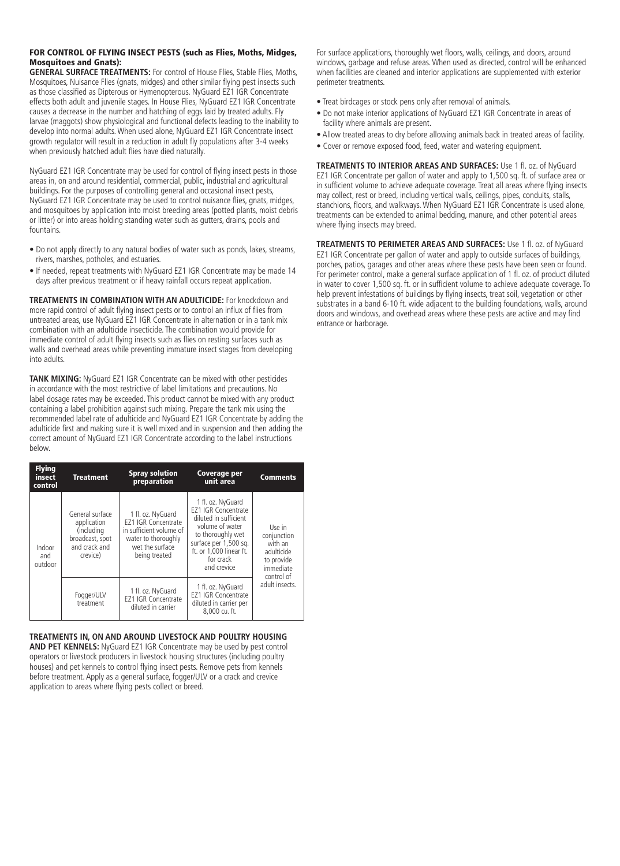#### FOR CONTROL OF FLYING INSECT PESTS (such as Flies, Moths, Midges, Mosquitoes and Gnats):

**GENERAL SURFACE TREATMENTS:** For control of House Flies, Stable Flies, Moths, Mosquitoes, Nuisance Flies (gnats, midges) and other similar flying pest insects such as those classified as Dipterous or Hymenopterous. NyGuard EZ1 IGR Concentrate effects both adult and juvenile stages. In House Flies, NyGuard EZ1 IGR Concentrate causes a decrease in the number and hatching of eggs laid by treated adults. Fly larvae (maggots) show physiological and functional defects leading to the inability to develop into normal adults. When used alone, NyGuard EZ1 IGR Concentrate insect growth regulator will result in a reduction in adult fly populations after 3-4 weeks when previously hatched adult flies have died naturally.

NyGuard EZ1 IGR Concentrate may be used for control of flying insect pests in those areas in, on and around residential, commercial, public, industrial and agricultural buildings. For the purposes of controlling general and occasional insect pests, NyGuard EZ1 IGR Concentrate may be used to control nuisance flies, gnats, midges, and mosquitoes by application into moist breeding areas (potted plants, moist debris or litter) or into areas holding standing water such as gutters, drains, pools and fountains.

- Do not apply directly to any natural bodies of water such as ponds, lakes, streams, rivers, marshes, potholes, and estuaries.
- If needed, repeat treatments with NyGuard EZ1 IGR Concentrate may be made 14 days after previous treatment or if heavy rainfall occurs repeat application.

**TREATMENTS IN COMBINATION WITH AN ADULTICIDE:** For knockdown and more rapid control of adult flying insect pests or to control an influx of flies from untreated areas, use NyGuard EZ1 IGR Concentrate in alternation or in a tank mix combination with an adulticide insecticide. The combination would provide for immediate control of adult flying insects such as flies on resting surfaces such as walls and overhead areas while preventing immature insect stages from developing into adults.

**TANK MIXING:** NyGuard EZ1 IGR Concentrate can be mixed with other pesticides in accordance with the most restrictive of label limitations and precautions. No label dosage rates may be exceeded. This product cannot be mixed with any product containing a label prohibition against such mixing. Prepare the tank mix using the recommended label rate of adulticide and NyGuard EZ1 IGR Concentrate by adding the adulticide first and making sure it is well mixed and in suspension and then adding the correct amount of NyGuard EZ1 IGR Concentrate according to the label instructions below.

| <b>Flying</b><br>insect<br>control | <b>Treatment</b>                                                                             | <b>Spray solution</b><br>preparation                                                                                                  | Coverage per<br>unit area                                                                                                                                                                        | <b>Comments</b>                                                                         |
|------------------------------------|----------------------------------------------------------------------------------------------|---------------------------------------------------------------------------------------------------------------------------------------|--------------------------------------------------------------------------------------------------------------------------------------------------------------------------------------------------|-----------------------------------------------------------------------------------------|
| Indoor<br>and<br>outdoor           | General surface<br>application<br>(including<br>broadcast, spot<br>and crack and<br>crevice) | 1 fl. oz. NyGuard<br><b>EZ1 IGR Concentrate</b><br>in sufficient volume of<br>water to thoroughly<br>wet the surface<br>being treated | 1 fl. oz. NyGuard<br><b>EZ1 IGR Concentrate</b><br>diluted in sufficient<br>volume of water<br>to thoroughly wet<br>surface per 1,500 sq.<br>ft. or 1.000 linear ft.<br>for crack<br>and crevice | Use in<br>conjunction<br>with an<br>adulticide<br>to provide<br>immediate<br>control of |
|                                    | Fogger/ULV<br>treatment                                                                      | 1 fl. oz. NyGuard<br><b>EZ1 IGR Concentrate</b><br>diluted in carrier                                                                 | 1 fl. oz. NyGuard<br><b>FZ1 IGR Concentrate</b><br>diluted in carrier per<br>8,000 cu. ft.                                                                                                       | adult insects.                                                                          |

#### **TREATMENTS IN, ON AND AROUND LIVESTOCK AND POULTRY HOUSING**

**AND PET KENNELS:** NyGuard EZ1 IGR Concentrate may be used by pest control operators or livestock producers in livestock housing structures (including poultry houses) and pet kennels to control flying insect pests. Remove pets from kennels before treatment. Apply as a general surface, fogger/ULV or a crack and crevice application to areas where flying pests collect or breed.

For surface applications, thoroughly wet floors, walls, ceilings, and doors, around windows, garbage and refuse areas. When used as directed, control will be enhanced when facilities are cleaned and interior applications are supplemented with exterior perimeter treatments.

- Treat birdcages or stock pens only after removal of animals.
- Do not make interior applications of NyGuard EZ1 IGR Concentrate in areas of facility where animals are present.
- Allow treated areas to dry before allowing animals back in treated areas of facility.
- Cover or remove exposed food, feed, water and watering equipment.

**TREATMENTS TO INTERIOR AREAS AND SURFACES:** Use 1 fl. oz. of NyGuard EZ1 IGR Concentrate per gallon of water and apply to 1,500 sq. ft. of surface area or in sufficient volume to achieve adequate coverage. Treat all areas where flying insects may collect, rest or breed, including vertical walls, ceilings, pipes, conduits, stalls, stanchions, floors, and walkways. When NyGuard EZ1 IGR Concentrate is used alone, treatments can be extended to animal bedding, manure, and other potential areas where flying insects may breed.

**TREATMENTS TO PERIMETER AREAS AND SURFACES:** Use 1 fl. oz. of NyGuard EZ1 IGR Concentrate per gallon of water and apply to outside surfaces of buildings, porches, patios, garages and other areas where these pests have been seen or found. For perimeter control, make a general surface application of 1 fl. oz. of product diluted in water to cover 1,500 sq. ft. or in sufficient volume to achieve adequate coverage. To help prevent infestations of buildings by flying insects, treat soil, vegetation or other substrates in a band 6-10 ft. wide adjacent to the building foundations, walls, around doors and windows, and overhead areas where these pests are active and may find entrance or harborage.